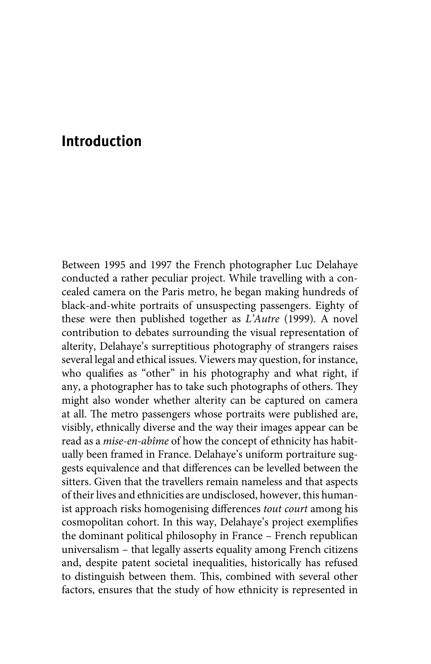## **Introduction**

Between 1995 and 1997 the French photographer Luc Delahaye conducted a rather peculiar project. While travelling with a concealed camera on the Paris metro, he began making hundreds of black-and-white portraits of unsuspecting passengers. Eighty of these were then published together as *L'Autre* (1999). A novel contribution to debates surrounding the visual representation of alterity, Delahaye's surreptitious photography of strangers raises several legal and ethical issues. Viewers may question, for instance, who qualifies as "other" in his photography and what right, if any, a photographer has to take such photographs of others. They might also wonder whether alterity can be captured on camera at all. The metro passengers whose portraits were published are, visibly, ethnically diverse and the way their images appear can be read as a *mise-en-abîme* of how the concept of ethnicity has habitually been framed in France. Delahaye's uniform portraiture suggests equivalence and that differences can be levelled between the sitters. Given that the travellers remain nameless and that aspects of their lives and ethnicities are undisclosed, however, this humanist approach risks homogenising differences *tout court* among his cosmopolitan cohort. In this way, Delahaye's project exemplifies the dominant political philosophy in France – French republican universalism – that legally asserts equality among French citizens and, despite patent societal inequalities, historically has refused to distinguish between them. This, combined with several other factors, ensures that the study of how ethnicity is represented in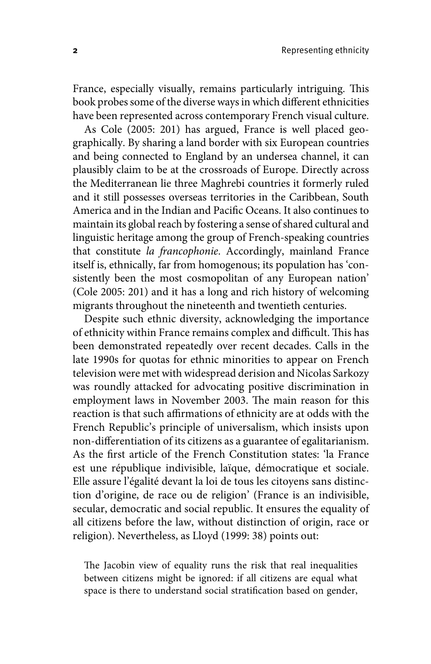France, especially visually, remains particularly intriguing. This book probes some of the diverse ways in which different ethnicities have been represented across contemporary French visual culture.

As Cole (2005: 201) has argued, France is well placed geographically. By sharing a land border with six European countries and being connected to England by an undersea channel, it can plausibly claim to be at the crossroads of Europe. Directly across the Mediterranean lie three Maghrebi countries it formerly ruled and it still possesses overseas territories in the Caribbean, South America and in the Indian and Pacific Oceans. It also continues to maintain its global reach by fostering a sense of shared cultural and linguistic heritage among the group of French-speaking countries that constitute *la francophonie*. Accordingly, mainland France itself is, ethnically, far from homogenous; its population has 'consistently been the most cosmopolitan of any European nation' (Cole 2005: 201) and it has a long and rich history of welcoming migrants throughout the nineteenth and twentieth centuries.

Despite such ethnic diversity, acknowledging the importance of ethnicity within France remains complex and difficult. This has been demonstrated repeatedly over recent decades. Calls in the late 1990s for quotas for ethnic minorities to appear on French television were met with widespread derision and Nicolas Sarkozy was roundly attacked for advocating positive discrimination in employment laws in November 2003. The main reason for this reaction is that such affirmations of ethnicity are at odds with the French Republic's principle of universalism, which insists upon non-differentiation of its citizens as a guarantee of egalitarianism. As the first article of the French Constitution states: 'la France est une république indivisible, laïque, démocratique et sociale. Elle assure l'égalité devant la loi de tous les citoyens sans distinction d'origine, de race ou de religion' (France is an indivisible, secular, democratic and social republic. It ensures the equality of all citizens before the law, without distinction of origin, race or religion). Nevertheless, as Lloyd (1999: 38) points out:

The Jacobin view of equality runs the risk that real inequalities between citizens might be ignored: if all citizens are equal what space is there to understand social stratification based on gender,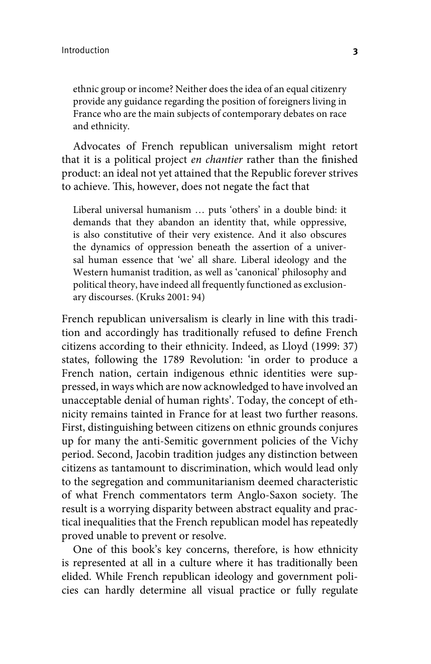ethnic group or income? Neither does the idea of an equal citizenry provide any guidance regarding the position of foreigners living in France who are the main subjects of contemporary debates on race and ethnicity.

Advocates of French republican universalism might retort that it is a political project *en chantier* rather than the finished product: an ideal not yet attained that the Republic forever strives to achieve. This, however, does not negate the fact that

Liberal universal humanism … puts 'others' in a double bind: it demands that they abandon an identity that, while oppressive, is also constitutive of their very existence. And it also obscures the dynamics of oppression beneath the assertion of a universal human essence that 'we' all share. Liberal ideology and the Western humanist tradition, as well as 'canonical' philosophy and political theory, have indeed all frequently functioned as exclusionary discourses. (Kruks 2001: 94)

French republican universalism is clearly in line with this tradition and accordingly has traditionally refused to define French citizens according to their ethnicity. Indeed, as Lloyd (1999: 37) states, following the 1789 Revolution: 'in order to produce a French nation, certain indigenous ethnic identities were suppressed, in ways which are now acknowledged to have involved an unacceptable denial of human rights'. Today, the concept of ethnicity remains tainted in France for at least two further reasons. First, distinguishing between citizens on ethnic grounds conjures up for many the anti-Semitic government policies of the Vichy period. Second, Jacobin tradition judges any distinction between citizens as tantamount to discrimination, which would lead only to the segregation and communitarianism deemed characteristic of what French commentators term Anglo-Saxon society. The result is a worrying disparity between abstract equality and practical inequalities that the French republican model has repeatedly proved unable to prevent or resolve.

One of this book's key concerns, therefore, is how ethnicity is represented at all in a culture where it has traditionally been elided. While French republican ideology and government policies can hardly determine all visual practice or fully regulate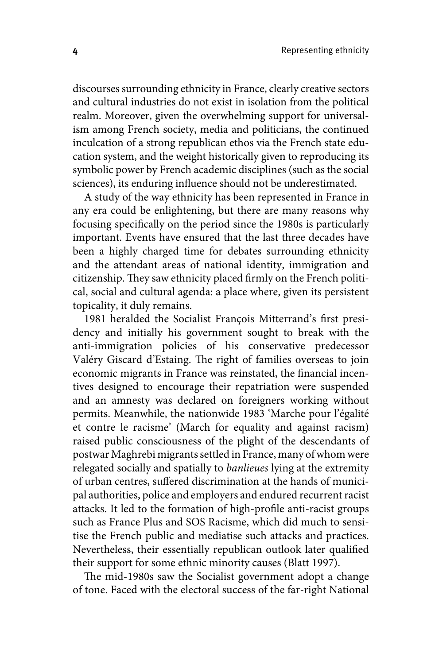discourses surrounding ethnicity in France, clearly creative sectors and cultural industries do not exist in isolation from the political realm. Moreover, given the overwhelming support for universalism among French society, media and politicians, the continued inculcation of a strong republican ethos via the French state education system, and the weight historically given to reproducing its symbolic power by French academic disciplines (such as the social sciences), its enduring influence should not be underestimated.

A study of the way ethnicity has been represented in France in any era could be enlightening, but there are many reasons why focusing specifically on the period since the 1980s is particularly important. Events have ensured that the last three decades have been a highly charged time for debates surrounding ethnicity and the attendant areas of national identity, immigration and citizenship. They saw ethnicity placed firmly on the French political, social and cultural agenda: a place where, given its persistent topicality, it duly remains.

1981 heralded the Socialist François Mitterrand's first presidency and initially his government sought to break with the anti-immigration policies of his conservative predecessor Valéry Giscard d'Estaing. The right of families overseas to join economic migrants in France was reinstated, the financial incentives designed to encourage their repatriation were suspended and an amnesty was declared on foreigners working without permits. Meanwhile, the nationwide 1983 'Marche pour l'égalité et contre le racisme' (March for equality and against racism) raised public consciousness of the plight of the descendants of postwar Maghrebi migrants settled in France, many of whom were relegated socially and spatially to *banlieues* lying at the extremity of urban centres, suffered discrimination at the hands of municipal authorities, police and employers and endured recurrent racist attacks. It led to the formation of high-profile anti-racist groups such as France Plus and SOS Racisme, which did much to sensitise the French public and mediatise such attacks and practices. Nevertheless, their essentially republican outlook later qualified their support for some ethnic minority causes (Blatt 1997).

The mid-1980s saw the Socialist government adopt a change of tone. Faced with the electoral success of the far-right National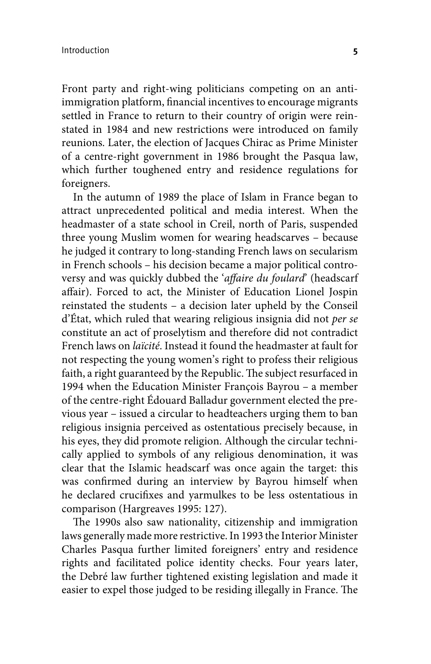Front party and right-wing politicians competing on an antiimmigration platform, financial incentives to encourage migrants settled in France to return to their country of origin were reinstated in 1984 and new restrictions were introduced on family reunions. Later, the election of Jacques Chirac as Prime Minister of a centre-right government in 1986 brought the Pasqua law, which further toughened entry and residence regulations for foreigners.

In the autumn of 1989 the place of Islam in France began to attract unprecedented political and media interest. When the headmaster of a state school in Creil, north of Paris, suspended three young Muslim women for wearing headscarves – because he judged it contrary to long-standing French laws on secularism in French schools – his decision became a major political controversy and was quickly dubbed the '*affaire du foulard*' (headscarf affair). Forced to act, the Minister of Education Lionel Jospin reinstated the students – a decision later upheld by the Conseil d'État, which ruled that wearing religious insignia did not *per se*  constitute an act of proselytism and therefore did not contradict French laws on *laïcité*. Instead it found the headmaster at fault for not respecting the young women's right to profess their religious faith, a right guaranteed by the Republic. The subject resurfaced in 1994 when the Education Minister François Bayrou – a member of the centre-right Édouard Balladur government elected the previous year – issued a circular to headteachers urging them to ban religious insignia perceived as ostentatious precisely because, in his eyes, they did promote religion. Although the circular technically applied to symbols of any religious denomination, it was clear that the Islamic headscarf was once again the target: this was confirmed during an interview by Bayrou himself when he declared crucifixes and yarmulkes to be less ostentatious in comparison (Hargreaves 1995: 127).

The 1990s also saw nationality, citizenship and immigration laws generally made more restrictive. In 1993 the Interior Minister Charles Pasqua further limited foreigners' entry and residence rights and facilitated police identity checks. Four years later, the Debré law further tightened existing legislation and made it easier to expel those judged to be residing illegally in France. The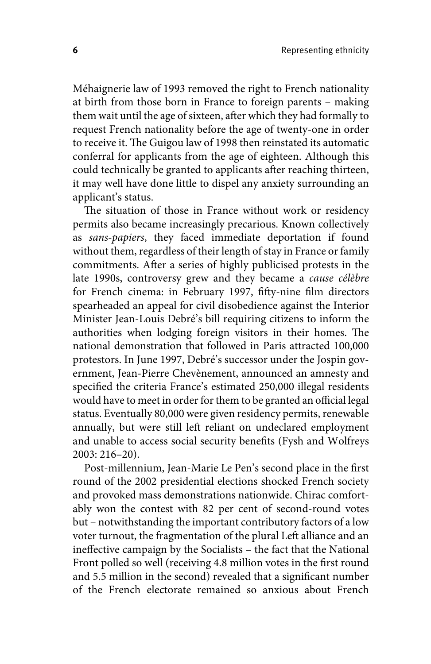Méhaignerie law of 1993 removed the right to French nationality at birth from those born in France to foreign parents – making them wait until the age of sixteen, after which they had formally to request French nationality before the age of twenty-one in order to receive it. The Guigou law of 1998 then reinstated its automatic conferral for applicants from the age of eighteen. Although this could technically be granted to applicants after reaching thirteen, it may well have done little to dispel any anxiety surrounding an applicant's status.

The situation of those in France without work or residency permits also became increasingly precarious. Known collectively as *sans-papiers*, they faced immediate deportation if found without them, regardless of their length of stay in France or family commitments. After a series of highly publicised protests in the late 1990s, controversy grew and they became a *cause célèbre*  for French cinema: in February 1997, fifty-nine film directors spearheaded an appeal for civil disobedience against the Interior Minister Jean-Louis Debré's bill requiring citizens to inform the authorities when lodging foreign visitors in their homes. The national demonstration that followed in Paris attracted 100,000 protestors. In June 1997, Debré's successor under the Jospin government, Jean-Pierre Chevènement, announced an amnesty and specified the criteria France's estimated 250,000 illegal residents would have to meet in order for them to be granted an official legal status. Eventually 80,000 were given residency permits, renewable annually, but were still left reliant on undeclared employment and unable to access social security benefits (Fysh and Wolfreys 2003: 216–20).

Post-millennium, Jean-Marie Le Pen's second place in the first round of the 2002 presidential elections shocked French society and provoked mass demonstrations nationwide. Chirac comfortably won the contest with 82 per cent of second-round votes but – notwithstanding the important contributory factors of a low voter turnout, the fragmentation of the plural Left alliance and an ineffective campaign by the Socialists – the fact that the National Front polled so well (receiving 4.8 million votes in the first round and 5.5 million in the second) revealed that a significant number of the French electorate remained so anxious about French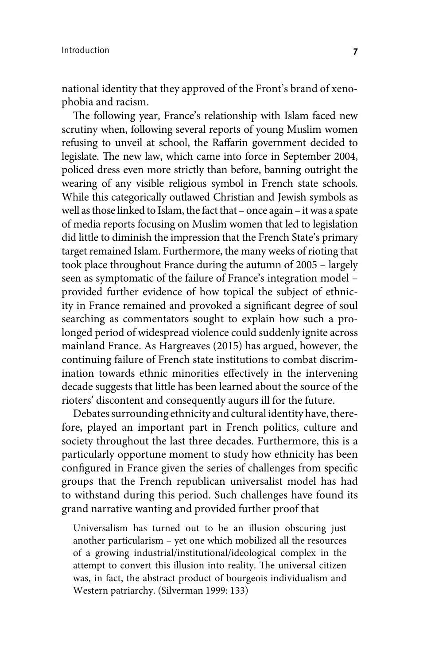national identity that they approved of the Front's brand of xenophobia and racism.

The following year, France's relationship with Islam faced new scrutiny when, following several reports of young Muslim women refusing to unveil at school, the Raffarin government decided to legislate. The new law, which came into force in September 2004, policed dress even more strictly than before, banning outright the wearing of any visible religious symbol in French state schools. While this categorically outlawed Christian and Jewish symbols as well as those linked to Islam, the fact that – once again – it was a spate of media reports focusing on Muslim women that led to legislation did little to diminish the impression that the French State's primary target remained Islam. Furthermore, the many weeks of rioting that took place throughout France during the autumn of 2005 – largely seen as symptomatic of the failure of France's integration model – provided further evidence of how topical the subject of ethnicity in France remained and provoked a significant degree of soul searching as commentators sought to explain how such a prolonged period of widespread violence could suddenly ignite across mainland France. As Hargreaves (2015) has argued, however, the continuing failure of French state institutions to combat discrimination towards ethnic minorities effectively in the intervening decade suggests that little has been learned about the source of the rioters' discontent and consequently augurs ill for the future.

Debates surrounding ethnicity and cultural identity have, therefore, played an important part in French politics, culture and society throughout the last three decades. Furthermore, this is a particularly opportune moment to study how ethnicity has been configured in France given the series of challenges from specific groups that the French republican universalist model has had to withstand during this period. Such challenges have found its grand narrative wanting and provided further proof that

Universalism has turned out to be an illusion obscuring just another particularism – yet one which mobilized all the resources of a growing industrial/institutional/ideological complex in the attempt to convert this illusion into reality. The universal citizen was, in fact, the abstract product of bourgeois individualism and Western patriarchy. (Silverman 1999: 133)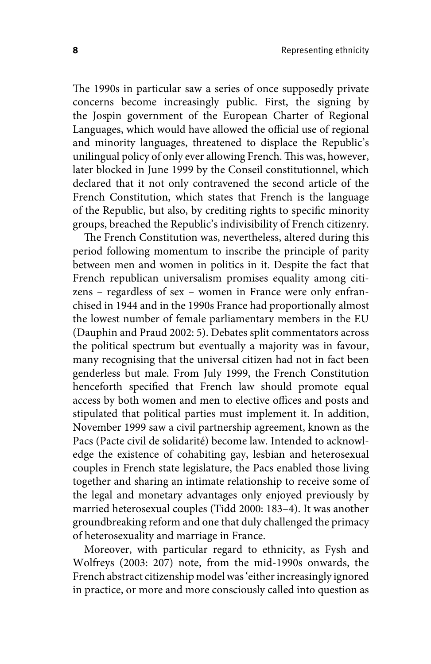The 1990s in particular saw a series of once supposedly private concerns become increasingly public. First, the signing by the Jospin government of the European Charter of Regional Languages, which would have allowed the official use of regional and minority languages, threatened to displace the Republic's unilingual policy of only ever allowing French. This was, however, later blocked in June 1999 by the Conseil constitutionnel, which declared that it not only contravened the second article of the French Constitution, which states that French is the language of the Republic, but also, by crediting rights to specific minority groups, breached the Republic's indivisibility of French citizenry.

The French Constitution was, nevertheless, altered during this period following momentum to inscribe the principle of parity between men and women in politics in it. Despite the fact that French republican universalism promises equality among citizens – regardless of sex – women in France were only enfranchised in 1944 and in the 1990s France had proportionally almost the lowest number of female parliamentary members in the EU (Dauphin and Praud 2002: 5). Debates split commentators across the political spectrum but eventually a majority was in favour, many recognising that the universal citizen had not in fact been genderless but male. From July 1999, the French Constitution henceforth specified that French law should promote equal access by both women and men to elective offices and posts and stipulated that political parties must implement it. In addition, November 1999 saw a civil partnership agreement, known as the Pacs (Pacte civil de solidarité) become law. Intended to acknowledge the existence of cohabiting gay, lesbian and heterosexual couples in French state legislature, the Pacs enabled those living together and sharing an intimate relationship to receive some of the legal and monetary advantages only enjoyed previously by married heterosexual couples (Tidd 2000: 183–4). It was another groundbreaking reform and one that duly challenged the primacy of heterosexuality and marriage in France.

Moreover, with particular regard to ethnicity, as Fysh and Wolfreys (2003: 207) note, from the mid-1990s onwards, the French abstract citizenship model was 'either increasingly ignored in practice, or more and more consciously called into question as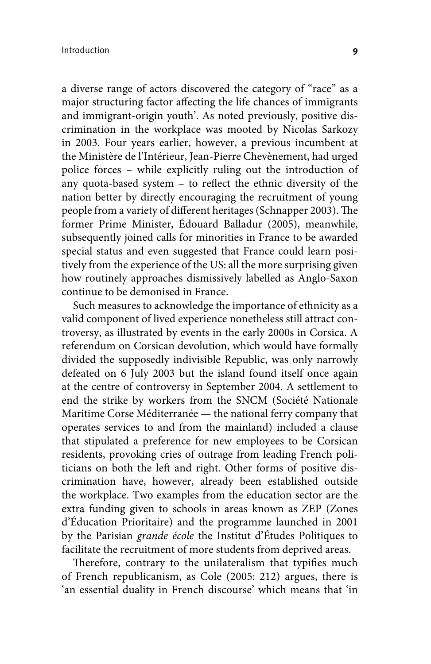a diverse range of actors discovered the category of "race" as a major structuring factor affecting the life chances of immigrants and immigrant-origin youth'. As noted previously, positive discrimination in the workplace was mooted by Nicolas Sarkozy in 2003. Four years earlier, however, a previous incumbent at the Ministère de l'Intérieur, Jean-Pierre Chevènement, had urged police forces – while explicitly ruling out the introduction of any quota-based system – to reflect the ethnic diversity of the nation better by directly encouraging the recruitment of young people from a variety of different heritages (Schnapper 2003). The former Prime Minister, Édouard Balladur (2005), meanwhile, subsequently joined calls for minorities in France to be awarded special status and even suggested that France could learn positively from the experience of the US: all the more surprising given how routinely approaches dismissively labelled as Anglo-Saxon continue to be demonised in France.

Such measures to acknowledge the importance of ethnicity as a valid component of lived experience nonetheless still attract controversy, as illustrated by events in the early 2000s in Corsica. A referendum on Corsican devolution, which would have formally divided the supposedly indivisible Republic, was only narrowly defeated on 6 July 2003 but the island found itself once again at the centre of controversy in September 2004. A settlement to end the strike by workers from the SNCM (Société Nationale Maritime Corse Méditerranée — the national ferry company that operates services to and from the mainland) included a clause that stipulated a preference for new employees to be Corsican residents, provoking cries of outrage from leading French politicians on both the left and right. Other forms of positive discrimination have, however, already been established outside the workplace. Two examples from the education sector are the extra funding given to schools in areas known as ZEP (Zones d'Éducation Prioritaire) and the programme launched in 2001 by the Parisian *grande école* the Institut d'Études Politiques to facilitate the recruitment of more students from deprived areas.

Therefore, contrary to the unilateralism that typifies much of French republicanism, as Cole (2005: 212) argues, there is 'an essential duality in French discourse' which means that 'in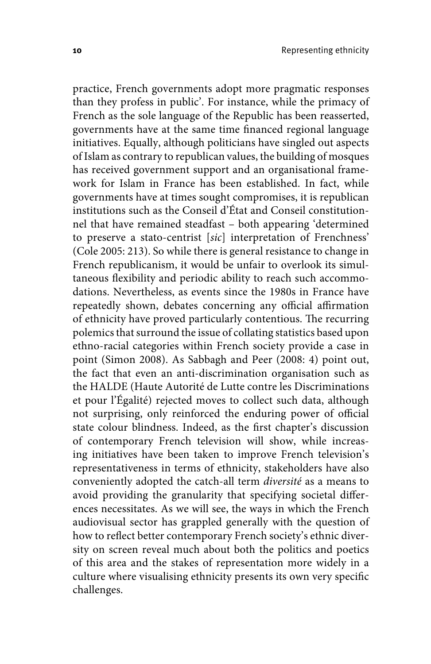practice, French governments adopt more pragmatic responses than they profess in public'. For instance, while the primacy of French as the sole language of the Republic has been reasserted, governments have at the same time financed regional language initiatives. Equally, although politicians have singled out aspects of Islam as contrary to republican values, the building of mosques has received government support and an organisational framework for Islam in France has been established. In fact, while governments have at times sought compromises, it is republican institutions such as the Conseil d'État and Conseil constitutionnel that have remained steadfast – both appearing 'determined to preserve a stato-centrist [*sic*] interpretation of Frenchness' (Cole 2005: 213). So while there is general resistance to change in French republicanism, it would be unfair to overlook its simultaneous flexibility and periodic ability to reach such accommodations. Nevertheless, as events since the 1980s in France have repeatedly shown, debates concerning any official affirmation of ethnicity have proved particularly contentious. The recurring polemics that surround the issue of collating statistics based upon ethno-racial categories within French society provide a case in point (Simon 2008). As Sabbagh and Peer (2008: 4) point out, the fact that even an anti-discrimination organisation such as the HALDE (Haute Autorité de Lutte contre les Discriminations et pour l'Égalité) rejected moves to collect such data, although not surprising, only reinforced the enduring power of official state colour blindness. Indeed, as the first chapter's discussion of contemporary French television will show, while increasing initiatives have been taken to improve French television's representativeness in terms of ethnicity, stakeholders have also conveniently adopted the catch-all term *diversité* as a means to avoid providing the granularity that specifying societal differences necessitates. As we will see, the ways in which the French audiovisual sector has grappled generally with the question of how to reflect better contemporary French society's ethnic diversity on screen reveal much about both the politics and poetics of this area and the stakes of representation more widely in a culture where visualising ethnicity presents its own very specific challenges.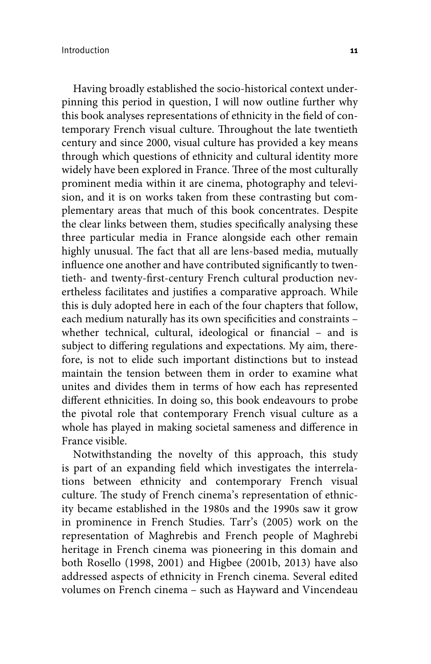Having broadly established the socio-historical context underpinning this period in question, I will now outline further why this book analyses representations of ethnicity in the field of contemporary French visual culture. Throughout the late twentieth century and since 2000, visual culture has provided a key means through which questions of ethnicity and cultural identity more widely have been explored in France. Three of the most culturally prominent media within it are cinema, photography and television, and it is on works taken from these contrasting but complementary areas that much of this book concentrates. Despite the clear links between them, studies specifically analysing these three particular media in France alongside each other remain highly unusual. The fact that all are lens-based media, mutually influence one another and have contributed significantly to twentieth- and twenty-first-century French cultural production nevertheless facilitates and justifies a comparative approach. While this is duly adopted here in each of the four chapters that follow, each medium naturally has its own specificities and constraints – whether technical, cultural, ideological or financial - and is subject to differing regulations and expectations. My aim, therefore, is not to elide such important distinctions but to instead maintain the tension between them in order to examine what unites and divides them in terms of how each has represented different ethnicities. In doing so, this book endeavours to probe the pivotal role that contemporary French visual culture as a whole has played in making societal sameness and difference in France visible.

Notwithstanding the novelty of this approach, this study is part of an expanding field which investigates the interrelations between ethnicity and contemporary French visual culture. The study of French cinema's representation of ethnicity became established in the 1980s and the 1990s saw it grow in prominence in French Studies. Tarr's (2005) work on the representation of Maghrebis and French people of Maghrebi heritage in French cinema was pioneering in this domain and both Rosello (1998, 2001) and Higbee (2001b, 2013) have also addressed aspects of ethnicity in French cinema. Several edited volumes on French cinema – such as Hayward and Vincendeau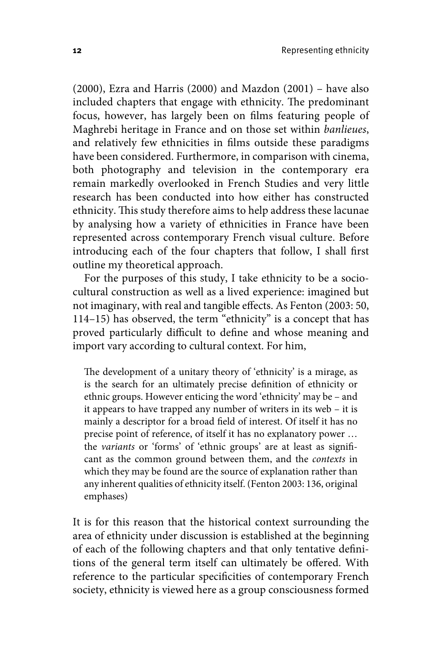(2000), Ezra and Harris (2000) and Mazdon (2001) – have also included chapters that engage with ethnicity. The predominant focus, however, has largely been on films featuring people of Maghrebi heritage in France and on those set within *banlieues*, and relatively few ethnicities in films outside these paradigms have been considered. Furthermore, in comparison with cinema, both photography and television in the contemporary era remain markedly overlooked in French Studies and very little research has been conducted into how either has constructed ethnicity. This study therefore aims to help address these lacunae by analysing how a variety of ethnicities in France have been represented across contemporary French visual culture. Before introducing each of the four chapters that follow, I shall first outline my theoretical approach.

For the purposes of this study, I take ethnicity to be a sociocultural construction as well as a lived experience: imagined but not imaginary, with real and tangible effects. As Fenton (2003: 50, 114–15) has observed, the term "ethnicity" is a concept that has proved particularly difficult to define and whose meaning and import vary according to cultural context. For him,

The development of a unitary theory of 'ethnicity' is a mirage, as is the search for an ultimately precise definition of ethnicity or ethnic groups. However enticing the word 'ethnicity' may be – and it appears to have trapped any number of writers in its web – it is mainly a descriptor for a broad field of interest. Of itself it has no precise point of reference, of itself it has no explanatory power … the *variants* or 'forms' of 'ethnic groups' are at least as significant as the common ground between them, and the *contexts* in which they may be found are the source of explanation rather than any inherent qualities of ethnicity itself. (Fenton 2003: 136, original emphases)

It is for this reason that the historical context surrounding the area of ethnicity under discussion is established at the beginning of each of the following chapters and that only tentative definitions of the general term itself can ultimately be offered. With reference to the particular specificities of contemporary French society, ethnicity is viewed here as a group consciousness formed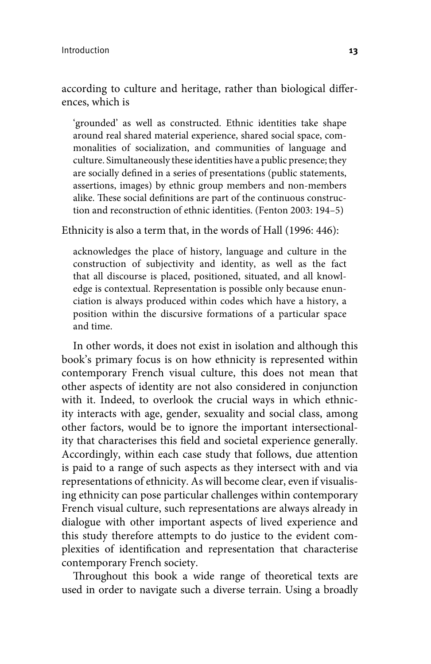according to culture and heritage, rather than biological differences, which is

'grounded' as well as constructed. Ethnic identities take shape around real shared material experience, shared social space, commonalities of socialization, and communities of language and culture. Simultaneously these identities have a public presence; they are socially defined in a series of presentations (public statements, assertions, images) by ethnic group members and non-members alike. These social definitions are part of the continuous construction and reconstruction of ethnic identities. (Fenton 2003: 194–5)

Ethnicity is also a term that, in the words of Hall (1996: 446):

acknowledges the place of history, language and culture in the construction of subjectivity and identity, as well as the fact that all discourse is placed, positioned, situated, and all knowledge is contextual. Representation is possible only because enunciation is always produced within codes which have a history, a position within the discursive formations of a particular space and time.

In other words, it does not exist in isolation and although this book's primary focus is on how ethnicity is represented within contemporary French visual culture, this does not mean that other aspects of identity are not also considered in conjunction with it. Indeed, to overlook the crucial ways in which ethnicity interacts with age, gender, sexuality and social class, among other factors, would be to ignore the important intersectionality that characterises this field and societal experience generally. Accordingly, within each case study that follows, due attention is paid to a range of such aspects as they intersect with and via representations of ethnicity. As will become clear, even if visualising ethnicity can pose particular challenges within contemporary French visual culture, such representations are always already in dialogue with other important aspects of lived experience and this study therefore attempts to do justice to the evident complexities of identification and representation that characterise contemporary French society.

Throughout this book a wide range of theoretical texts are used in order to navigate such a diverse terrain. Using a broadly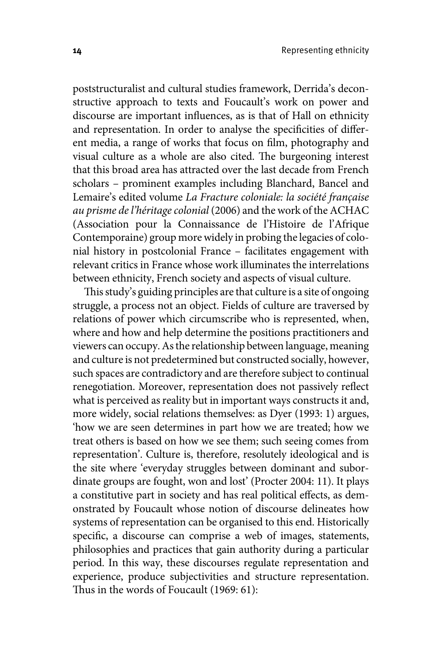poststructuralist and cultural studies framework, Derrida's deconstructive approach to texts and Foucault's work on power and discourse are important influences, as is that of Hall on ethnicity and representation. In order to analyse the specificities of different media, a range of works that focus on film, photography and visual culture as a whole are also cited. The burgeoning interest that this broad area has attracted over the last decade from French scholars – prominent examples including Blanchard, Bancel and Lemaire's edited volume *La Fracture coloniale: la société française au prisme de l'héritage colonial* (2006) and the work of the ACHAC (Association pour la Connaissance de l'Histoire de l'Afrique Contemporaine) group more widely in probing the legacies of colonial history in postcolonial France – facilitates engagement with relevant critics in France whose work illuminates the interrelations between ethnicity, French society and aspects of visual culture.

This study's guiding principles are that culture is a site of ongoing struggle, a process not an object. Fields of culture are traversed by relations of power which circumscribe who is represented, when, where and how and help determine the positions practitioners and viewers can occupy. As the relationship between language, meaning and culture is not predetermined but constructed socially, however, such spaces are contradictory and are therefore subject to continual renegotiation. Moreover, representation does not passively reflect what is perceived as reality but in important ways constructs it and, more widely, social relations themselves: as Dyer (1993: 1) argues, 'how we are seen determines in part how we are treated; how we treat others is based on how we see them; such seeing comes from representation'. Culture is, therefore, resolutely ideological and is the site where 'everyday struggles between dominant and subordinate groups are fought, won and lost' (Procter 2004: 11). It plays a constitutive part in society and has real political effects, as demonstrated by Foucault whose notion of discourse delineates how systems of representation can be organised to this end. Historically specific, a discourse can comprise a web of images, statements, philosophies and practices that gain authority during a particular period. In this way, these discourses regulate representation and experience, produce subjectivities and structure representation. Thus in the words of Foucault (1969: 61):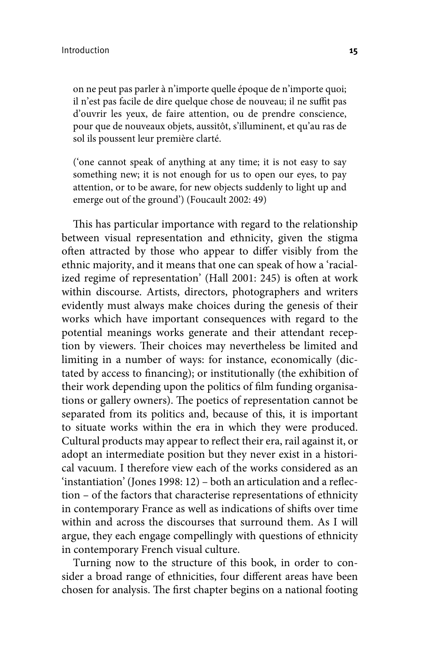on ne peut pas parler à n'importe quelle époque de n'importe quoi; il n'est pas facile de dire quelque chose de nouveau; il ne suffit pas d'ouvrir les yeux, de faire attention, ou de prendre conscience, pour que de nouveaux objets, aussitôt, s'illuminent, et qu'au ras de sol ils poussent leur première clarté.

('one cannot speak of anything at any time; it is not easy to say something new; it is not enough for us to open our eyes, to pay attention, or to be aware, for new objects suddenly to light up and emerge out of the ground') (Foucault 2002: 49)

This has particular importance with regard to the relationship between visual representation and ethnicity, given the stigma often attracted by those who appear to differ visibly from the ethnic majority, and it means that one can speak of how a 'racialized regime of representation' (Hall 2001: 245) is often at work within discourse. Artists, directors, photographers and writers evidently must always make choices during the genesis of their works which have important consequences with regard to the potential meanings works generate and their attendant reception by viewers. Their choices may nevertheless be limited and limiting in a number of ways: for instance, economically (dictated by access to financing); or institutionally (the exhibition of their work depending upon the politics of film funding organisations or gallery owners). The poetics of representation cannot be separated from its politics and, because of this, it is important to situate works within the era in which they were produced. Cultural products may appear to reflect their era, rail against it, or adopt an intermediate position but they never exist in a historical vacuum. I therefore view each of the works considered as an 'instantiation' (Jones 1998: 12) – both an articulation and a reflection – of the factors that characterise representations of ethnicity in contemporary France as well as indications of shifts over time within and across the discourses that surround them. As I will argue, they each engage compellingly with questions of ethnicity in contemporary French visual culture.

Turning now to the structure of this book, in order to consider a broad range of ethnicities, four different areas have been chosen for analysis. The first chapter begins on a national footing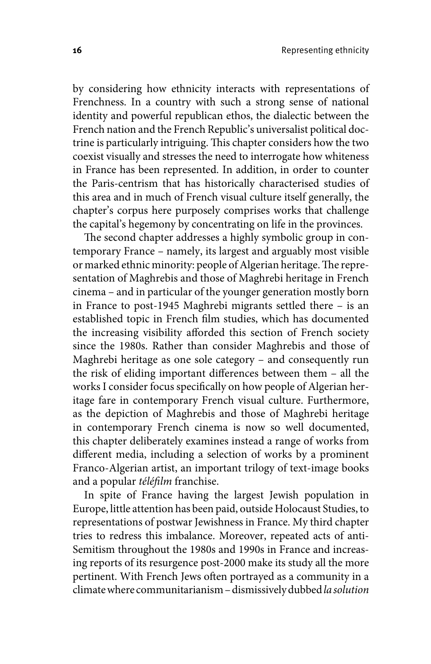by considering how ethnicity interacts with representations of Frenchness. In a country with such a strong sense of national identity and powerful republican ethos, the dialectic between the French nation and the French Republic's universalist political doctrine is particularly intriguing. This chapter considers how the two coexist visually and stresses the need to interrogate how whiteness in France has been represented. In addition, in order to counter the Paris-centrism that has historically characterised studies of this area and in much of French visual culture itself generally, the chapter's corpus here purposely comprises works that challenge the capital's hegemony by concentrating on life in the provinces.

The second chapter addresses a highly symbolic group in contemporary France – namely, its largest and arguably most visible or marked ethnic minority: people of Algerian heritage. The representation of Maghrebis and those of Maghrebi heritage in French cinema – and in particular of the younger generation mostly born in France to post-1945 Maghrebi migrants settled there – is an established topic in French film studies, which has documented the increasing visibility afforded this section of French society since the 1980s. Rather than consider Maghrebis and those of Maghrebi heritage as one sole category – and consequently run the risk of eliding important differences between them – all the works I consider focus specifically on how people of Algerian heritage fare in contemporary French visual culture. Furthermore, as the depiction of Maghrebis and those of Maghrebi heritage in contemporary French cinema is now so well documented, this chapter deliberately examines instead a range of works from different media, including a selection of works by a prominent Franco-Algerian artist, an important trilogy of text-image books and a popular *téléfilm* franchise.

In spite of France having the largest Jewish population in Europe, little attention has been paid, outside Holocaust Studies, to representations of postwar Jewishness in France. My third chapter tries to redress this imbalance. Moreover, repeated acts of anti-Semitism throughout the 1980s and 1990s in France and increasing reports of its resurgence post-2000 make its study all the more pertinent. With French Jews often portrayed as a community in a climate where communitarianism – dismissively dubbed *la solution*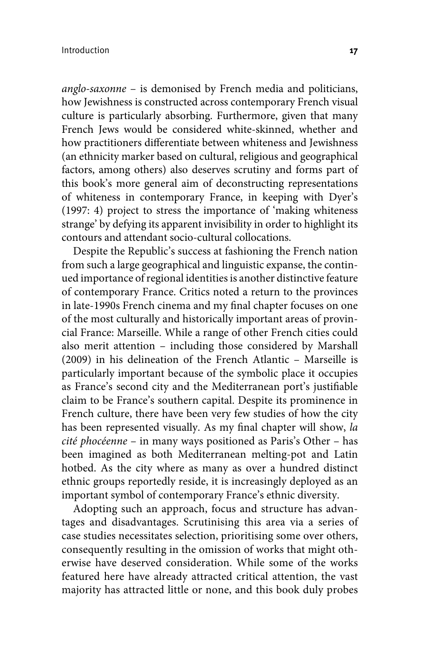*anglo-saxonne* – is demonised by French media and politicians, how Jewishness is constructed across contemporary French visual culture is particularly absorbing. Furthermore, given that many French Jews would be considered white-skinned, whether and how practitioners differentiate between whiteness and Jewishness (an ethnicity marker based on cultural, religious and geographical factors, among others) also deserves scrutiny and forms part of this book's more general aim of deconstructing representations of whiteness in contemporary France, in keeping with Dyer's (1997: 4) project to stress the importance of 'making whiteness strange' by defying its apparent invisibility in order to highlight its contours and attendant socio-cultural collocations.

Despite the Republic's success at fashioning the French nation from such a large geographical and linguistic expanse, the continued importance of regional identities is another distinctive feature of contemporary France. Critics noted a return to the provinces in late-1990s French cinema and my final chapter focuses on one of the most culturally and historically important areas of provincial France: Marseille. While a range of other French cities could also merit attention – including those considered by Marshall (2009) in his delineation of the French Atlantic – Marseille is particularly important because of the symbolic place it occupies as France's second city and the Mediterranean port's justifiable claim to be France's southern capital. Despite its prominence in French culture, there have been very few studies of how the city has been represented visually. As my final chapter will show, *la cité phocéenne* – in many ways positioned as Paris's Other – has been imagined as both Mediterranean melting-pot and Latin hotbed. As the city where as many as over a hundred distinct ethnic groups reportedly reside, it is increasingly deployed as an important symbol of contemporary France's ethnic diversity.

Adopting such an approach, focus and structure has advantages and disadvantages. Scrutinising this area via a series of case studies necessitates selection, prioritising some over others, consequently resulting in the omission of works that might otherwise have deserved consideration. While some of the works featured here have already attracted critical attention, the vast majority has attracted little or none, and this book duly probes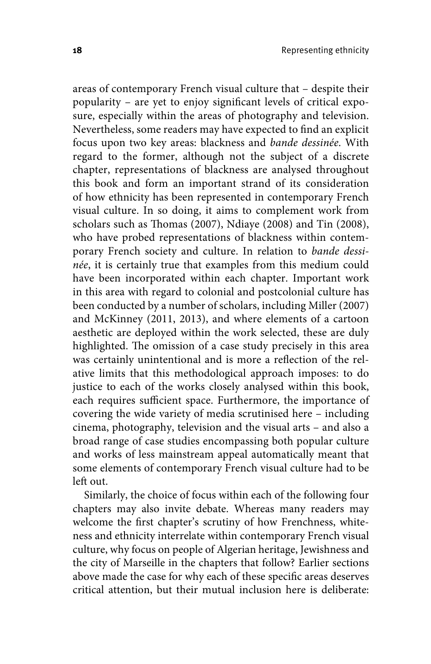areas of contemporary French visual culture that – despite their popularity – are yet to enjoy significant levels of critical exposure, especially within the areas of photography and television. Nevertheless, some readers may have expected to find an explicit focus upon two key areas: blackness and *bande dessinée*. With regard to the former, although not the subject of a discrete chapter, representations of blackness are analysed throughout this book and form an important strand of its consideration of how ethnicity has been represented in contemporary French visual culture. In so doing, it aims to complement work from scholars such as Thomas (2007), Ndiaye (2008) and Tin (2008), who have probed representations of blackness within contemporary French society and culture. In relation to *bande dessinée*, it is certainly true that examples from this medium could have been incorporated within each chapter. Important work in this area with regard to colonial and postcolonial culture has been conducted by a number of scholars, including Miller (2007) and McKinney (2011, 2013), and where elements of a cartoon aesthetic are deployed within the work selected, these are duly highlighted. The omission of a case study precisely in this area was certainly unintentional and is more a reflection of the relative limits that this methodological approach imposes: to do justice to each of the works closely analysed within this book, each requires sufficient space. Furthermore, the importance of covering the wide variety of media scrutinised here – including cinema, photography, television and the visual arts – and also a broad range of case studies encompassing both popular culture and works of less mainstream appeal automatically meant that some elements of contemporary French visual culture had to be left out.

Similarly, the choice of focus within each of the following four chapters may also invite debate. Whereas many readers may welcome the first chapter's scrutiny of how Frenchness, whiteness and ethnicity interrelate within contemporary French visual culture, why focus on people of Algerian heritage, Jewishness and the city of Marseille in the chapters that follow? Earlier sections above made the case for why each of these specific areas deserves critical attention, but their mutual inclusion here is deliberate: